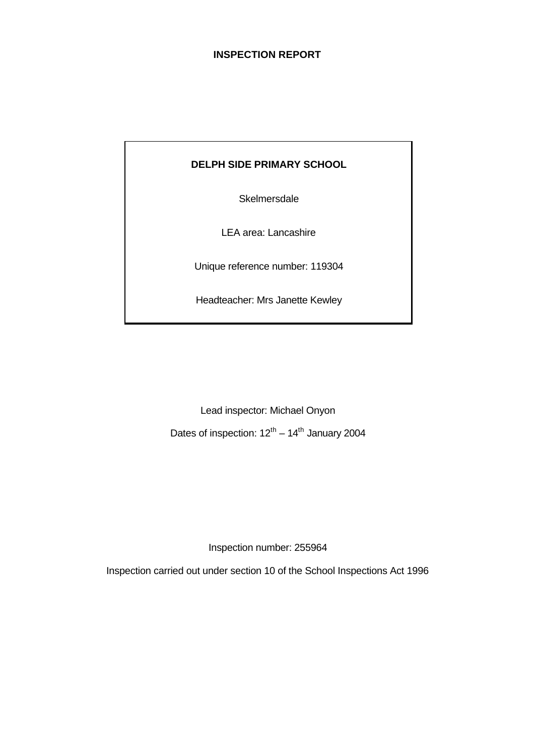## **INSPECTION REPORT**

# **DELPH SIDE PRIMARY SCHOOL**

**Skelmersdale** 

LEA area: Lancashire

Unique reference number: 119304

Headteacher: Mrs Janette Kewley

Lead inspector: Michael Onyon Dates of inspection:  $12^{th} - 14^{th}$  January 2004

Inspection number: 255964

Inspection carried out under section 10 of the School Inspections Act 1996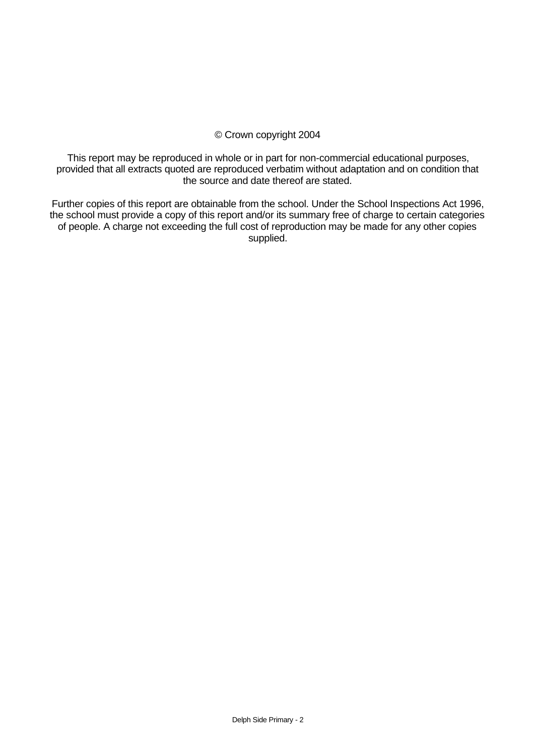## © Crown copyright 2004

This report may be reproduced in whole or in part for non-commercial educational purposes, provided that all extracts quoted are reproduced verbatim without adaptation and on condition that the source and date thereof are stated.

Further copies of this report are obtainable from the school. Under the School Inspections Act 1996, the school must provide a copy of this report and/or its summary free of charge to certain categories of people. A charge not exceeding the full cost of reproduction may be made for any other copies supplied.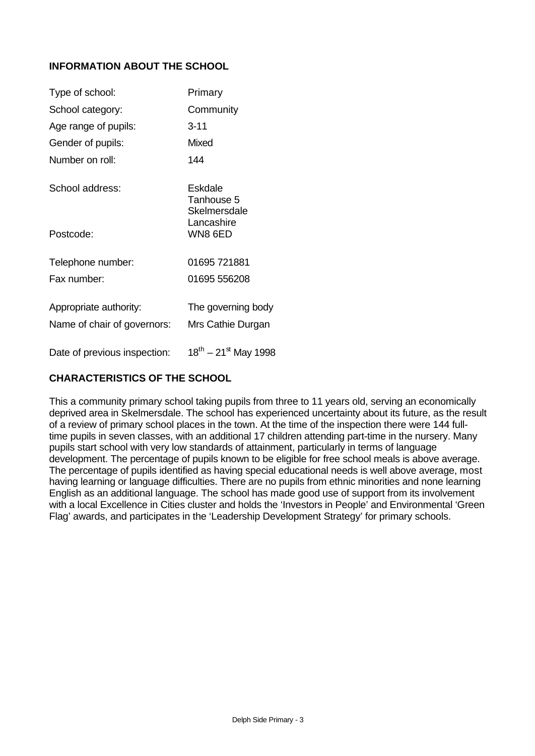# **INFORMATION ABOUT THE SCHOOL**

| Type of school:              | Primary                               |
|------------------------------|---------------------------------------|
| School category:             | Community                             |
| Age range of pupils:         | $3 - 11$                              |
| Gender of pupils:            | Mixed                                 |
| Number on roll:              | 144                                   |
| School address:              | Eskdale<br>Tanhouse 5<br>Skelmersdale |
| Postcode:                    | Lancashire<br>WN8 6ED                 |
| Telephone number:            | 01695 721881                          |
| Fax number:                  | 01695 556208                          |
| Appropriate authority:       | The governing body                    |
| Name of chair of governors:  | Mrs Cathie Durgan                     |
| Date of previous inspection: | $18^{th} - 21^{st}$ May 1998          |

# **CHARACTERISTICS OF THE SCHOOL**

This a community primary school taking pupils from three to 11 years old, serving an economically deprived area in Skelmersdale. The school has experienced uncertainty about its future, as the result of a review of primary school places in the town. At the time of the inspection there were 144 fulltime pupils in seven classes, with an additional 17 children attending part-time in the nursery. Many pupils start school with very low standards of attainment, particularly in terms of language development. The percentage of pupils known to be eligible for free school meals is above average. The percentage of pupils identified as having special educational needs is well above average, most having learning or language difficulties. There are no pupils from ethnic minorities and none learning English as an additional language. The school has made good use of support from its involvement with a local Excellence in Cities cluster and holds the 'Investors in People' and Environmental 'Green Flag' awards, and participates in the 'Leadership Development Strategy' for primary schools.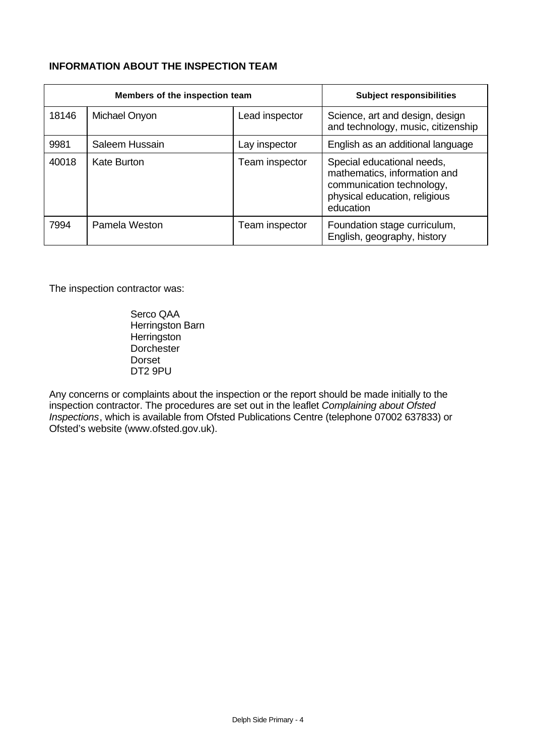# **INFORMATION ABOUT THE INSPECTION TEAM**

|       | Members of the inspection team | <b>Subject responsibilities</b> |                                                                                                                                       |
|-------|--------------------------------|---------------------------------|---------------------------------------------------------------------------------------------------------------------------------------|
| 18146 | Michael Onyon                  | Lead inspector                  | Science, art and design, design<br>and technology, music, citizenship                                                                 |
| 9981  | Saleem Hussain                 | Lay inspector                   | English as an additional language                                                                                                     |
| 40018 | Kate Burton                    | Team inspector                  | Special educational needs,<br>mathematics, information and<br>communication technology,<br>physical education, religious<br>education |
| 7994  | Pamela Weston                  | Team inspector                  | Foundation stage curriculum,<br>English, geography, history                                                                           |

The inspection contractor was:

Serco QAA Herringston Barn **Herringston Dorchester** Dorset DT2 9PU

Any concerns or complaints about the inspection or the report should be made initially to the inspection contractor. The procedures are set out in the leaflet *Complaining about Ofsted Inspections*, which is available from Ofsted Publications Centre (telephone 07002 637833) or Ofsted's website (www.ofsted.gov.uk).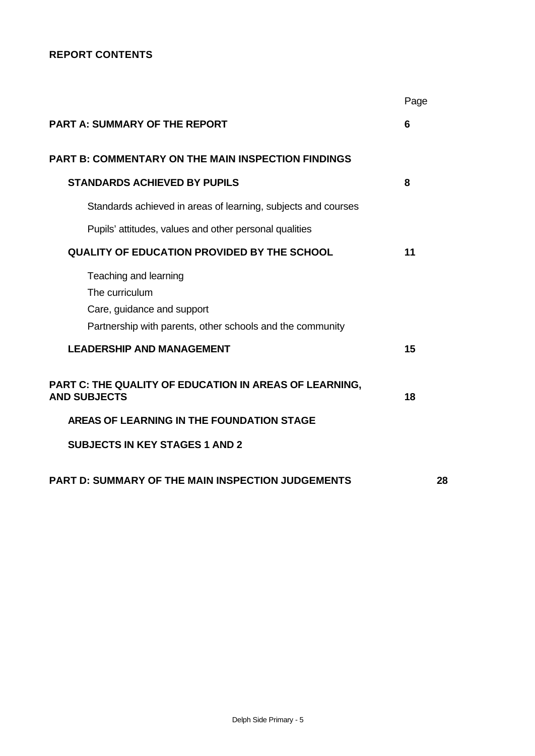# **REPORT CONTENTS**

|                                                                                         | Page |
|-----------------------------------------------------------------------------------------|------|
| <b>PART A: SUMMARY OF THE REPORT</b>                                                    | 6    |
| <b>PART B: COMMENTARY ON THE MAIN INSPECTION FINDINGS</b>                               |      |
| <b>STANDARDS ACHIEVED BY PUPILS</b>                                                     | 8    |
| Standards achieved in areas of learning, subjects and courses                           |      |
| Pupils' attitudes, values and other personal qualities                                  |      |
| <b>QUALITY OF EDUCATION PROVIDED BY THE SCHOOL</b>                                      | 11   |
| Teaching and learning<br>The curriculum                                                 |      |
| Care, guidance and support<br>Partnership with parents, other schools and the community |      |
| <b>LEADERSHIP AND MANAGEMENT</b>                                                        | 15   |
| PART C: THE QUALITY OF EDUCATION IN AREAS OF LEARNING,<br><b>AND SUBJECTS</b>           | 18   |
| AREAS OF LEARNING IN THE FOUNDATION STAGE                                               |      |
| <b>SUBJECTS IN KEY STAGES 1 AND 2</b>                                                   |      |
| <b>PART D: SUMMARY OF THE MAIN INSPECTION JUDGEMENTS</b>                                | 28   |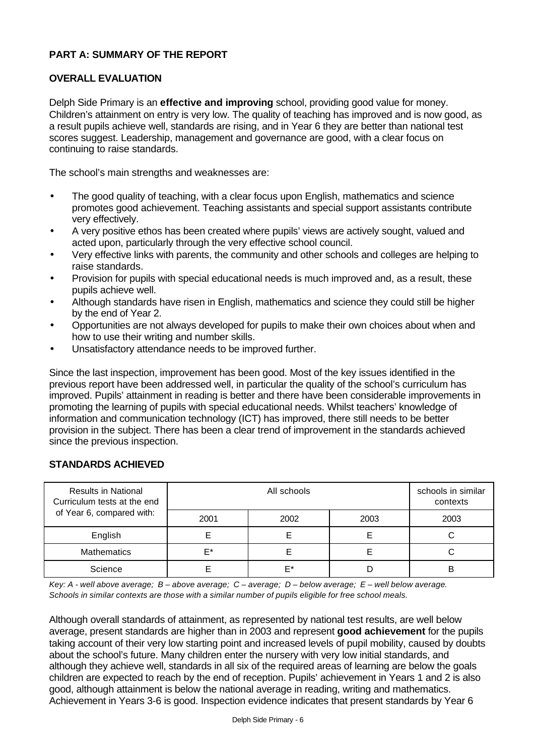# **PART A: SUMMARY OF THE REPORT**

## **OVERALL EVALUATION**

Delph Side Primary is an **effective and improving** school, providing good value for money. Children's attainment on entry is very low. The quality of teaching has improved and is now good, as a result pupils achieve well, standards are rising, and in Year 6 they are better than national test scores suggest. Leadership, management and governance are good, with a clear focus on continuing to raise standards.

The school's main strengths and weaknesses are:

- The good quality of teaching, with a clear focus upon English, mathematics and science promotes good achievement. Teaching assistants and special support assistants contribute very effectively.
- A very positive ethos has been created where pupils' views are actively sought, valued and acted upon, particularly through the very effective school council.
- Very effective links with parents, the community and other schools and colleges are helping to raise standards.
- Provision for pupils with special educational needs is much improved and, as a result, these pupils achieve well.
- Although standards have risen in English, mathematics and science they could still be higher by the end of Year 2.
- Opportunities are not always developed for pupils to make their own choices about when and how to use their writing and number skills.
- Unsatisfactory attendance needs to be improved further.

Since the last inspection, improvement has been good. Most of the key issues identified in the previous report have been addressed well, in particular the quality of the school's curriculum has improved. Pupils' attainment in reading is better and there have been considerable improvements in promoting the learning of pupils with special educational needs. Whilst teachers' knowledge of information and communication technology (ICT) has improved, there still needs to be better provision in the subject. There has been a clear trend of improvement in the standards achieved since the previous inspection.

| <b>Results in National</b><br>Curriculum tests at the end |      | schools in similar<br>contexts |      |      |
|-----------------------------------------------------------|------|--------------------------------|------|------|
| of Year 6, compared with:                                 | 2001 | 2002                           | 2003 | 2003 |
| English                                                   |      |                                |      |      |
| <b>Mathematics</b>                                        | F*   |                                |      | С    |
| Science                                                   |      | F*                             |      | в    |

## **STANDARDS ACHIEVED**

*Key: A - well above average; B – above average; C – average; D – below average; E – well below average. Schools in similar contexts are those with a similar number of pupils eligible for free school meals.*

Although overall standards of attainment, as represented by national test results, are well below average, present standards are higher than in 2003 and represent **good achievement** for the pupils taking account of their very low starting point and increased levels of pupil mobility, caused by doubts about the school's future. Many children enter the nursery with very low initial standards, and although they achieve well, standards in all six of the required areas of learning are below the goals children are expected to reach by the end of reception. Pupils' achievement in Years 1 and 2 is also good, although attainment is below the national average in reading, writing and mathematics. Achievement in Years 3-6 is good. Inspection evidence indicates that present standards by Year 6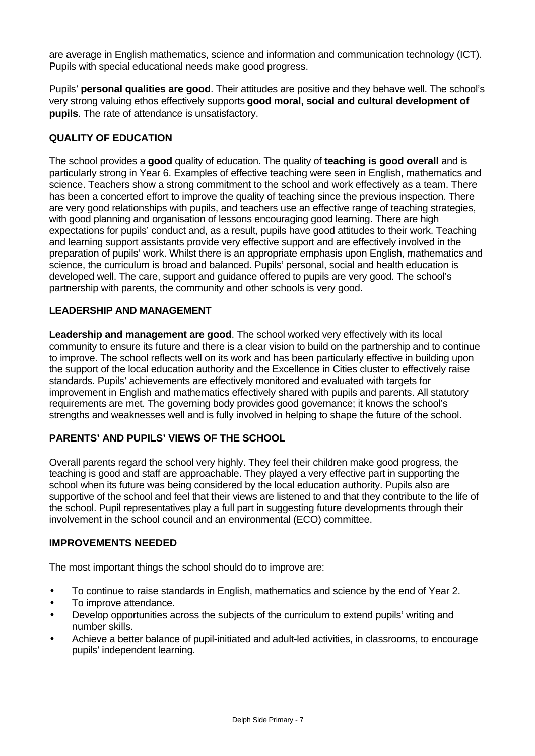are average in English mathematics, science and information and communication technology (ICT). Pupils with special educational needs make good progress.

Pupils' **personal qualities are good**. Their attitudes are positive and they behave well. The school's very strong valuing ethos effectively supports **good moral, social and cultural development of pupils**. The rate of attendance is unsatisfactory.

# **QUALITY OF EDUCATION**

The school provides a **good** quality of education. The quality of **teaching is good overall** and is particularly strong in Year 6. Examples of effective teaching were seen in English, mathematics and science. Teachers show a strong commitment to the school and work effectively as a team. There has been a concerted effort to improve the quality of teaching since the previous inspection. There are very good relationships with pupils, and teachers use an effective range of teaching strategies, with good planning and organisation of lessons encouraging good learning. There are high expectations for pupils' conduct and, as a result, pupils have good attitudes to their work. Teaching and learning support assistants provide very effective support and are effectively involved in the preparation of pupils' work. Whilst there is an appropriate emphasis upon English, mathematics and science, the curriculum is broad and balanced. Pupils' personal, social and health education is developed well. The care, support and guidance offered to pupils are very good. The school's partnership with parents, the community and other schools is very good.

## **LEADERSHIP AND MANAGEMENT**

**Leadership and management are good**. The school worked very effectively with its local community to ensure its future and there is a clear vision to build on the partnership and to continue to improve. The school reflects well on its work and has been particularly effective in building upon the support of the local education authority and the Excellence in Cities cluster to effectively raise standards. Pupils' achievements are effectively monitored and evaluated with targets for improvement in English and mathematics effectively shared with pupils and parents. All statutory requirements are met. The governing body provides good governance; it knows the school's strengths and weaknesses well and is fully involved in helping to shape the future of the school.

# **PARENTS' AND PUPILS' VIEWS OF THE SCHOOL**

Overall parents regard the school very highly. They feel their children make good progress, the teaching is good and staff are approachable. They played a very effective part in supporting the school when its future was being considered by the local education authority. Pupils also are supportive of the school and feel that their views are listened to and that they contribute to the life of the school. Pupil representatives play a full part in suggesting future developments through their involvement in the school council and an environmental (ECO) committee.

## **IMPROVEMENTS NEEDED**

The most important things the school should do to improve are:

- To continue to raise standards in English, mathematics and science by the end of Year 2.
- To improve attendance.
- Develop opportunities across the subjects of the curriculum to extend pupils' writing and number skills.
- Achieve a better balance of pupil-initiated and adult-led activities, in classrooms, to encourage pupils' independent learning.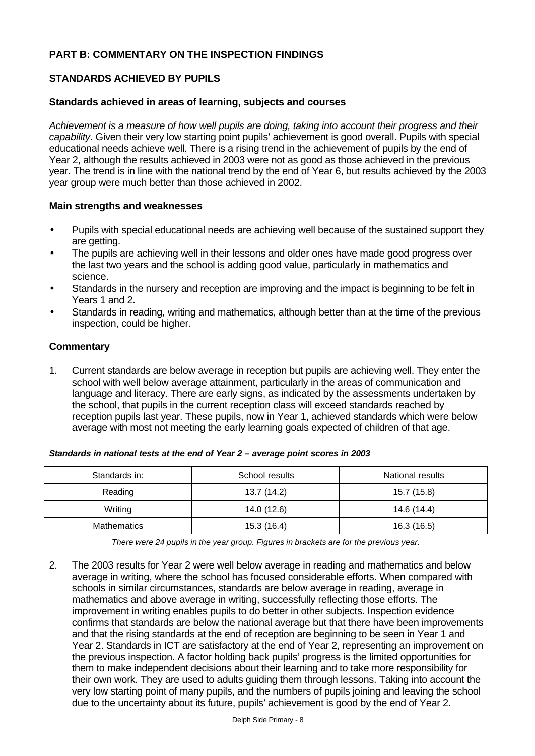# **PART B: COMMENTARY ON THE INSPECTION FINDINGS**

## **STANDARDS ACHIEVED BY PUPILS**

#### **Standards achieved in areas of learning, subjects and courses**

*Achievement is a measure of how well pupils are doing, taking into account their progress and their capability.* Given their very low starting point pupils' achievement is good overall. Pupils with special educational needs achieve well. There is a rising trend in the achievement of pupils by the end of Year 2, although the results achieved in 2003 were not as good as those achieved in the previous year. The trend is in line with the national trend by the end of Year 6, but results achieved by the 2003 year group were much better than those achieved in 2002.

#### **Main strengths and weaknesses**

- Pupils with special educational needs are achieving well because of the sustained support they are getting.
- The pupils are achieving well in their lessons and older ones have made good progress over the last two years and the school is adding good value, particularly in mathematics and science.
- Standards in the nursery and reception are improving and the impact is beginning to be felt in Years 1 and 2.
- Standards in reading, writing and mathematics, although better than at the time of the previous inspection, could be higher.

#### **Commentary**

1. Current standards are below average in reception but pupils are achieving well. They enter the school with well below average attainment, particularly in the areas of communication and language and literacy. There are early signs, as indicated by the assessments undertaken by the school, that pupils in the current reception class will exceed standards reached by reception pupils last year. These pupils, now in Year 1, achieved standards which were below average with most not meeting the early learning goals expected of children of that age.

| Standards in:      | School results | National results |
|--------------------|----------------|------------------|
| Reading            | 13.7 (14.2)    | 15.7 (15.8)      |
| Writing            | 14.0 (12.6)    | 14.6 (14.4)      |
| <b>Mathematics</b> | 15.3 (16.4)    | 16.3 (16.5)      |

#### *Standards in national tests at the end of Year 2 – average point scores in 2003*

*There were 24 pupils in the year group. Figures in brackets are for the previous year.*

2. The 2003 results for Year 2 were well below average in reading and mathematics and below average in writing, where the school has focused considerable efforts. When compared with schools in similar circumstances, standards are below average in reading, average in mathematics and above average in writing, successfully reflecting those efforts. The improvement in writing enables pupils to do better in other subjects. Inspection evidence confirms that standards are below the national average but that there have been improvements and that the rising standards at the end of reception are beginning to be seen in Year 1 and Year 2. Standards in ICT are satisfactory at the end of Year 2, representing an improvement on the previous inspection. A factor holding back pupils' progress is the limited opportunities for them to make independent decisions about their learning and to take more responsibility for their own work. They are used to adults guiding them through lessons. Taking into account the very low starting point of many pupils, and the numbers of pupils joining and leaving the school due to the uncertainty about its future, pupils' achievement is good by the end of Year 2.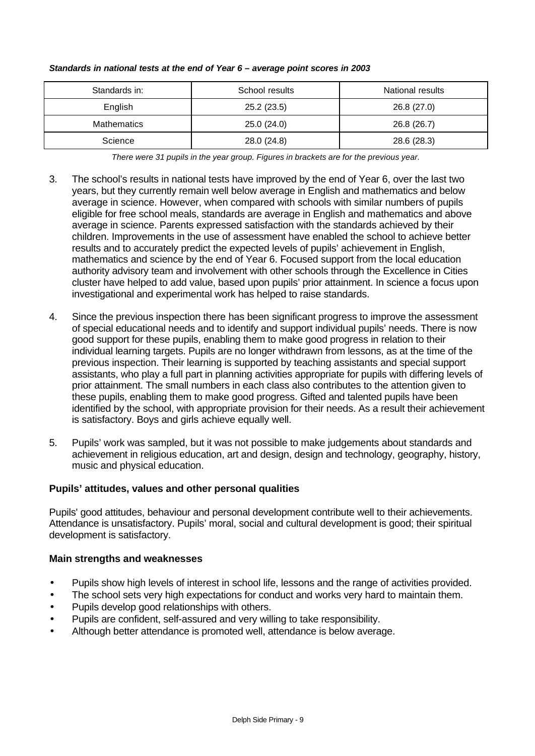| Standards in:      | School results | National results |
|--------------------|----------------|------------------|
| English            | 25.2(23.5)     | 26.8 (27.0)      |
| <b>Mathematics</b> | 25.0(24.0)     | 26.8 (26.7)      |
| Science            | 28.0 (24.8)    | 28.6 (28.3)      |

#### *Standards in national tests at the end of Year 6 – average point scores in 2003*

*There were 31 pupils in the year group. Figures in brackets are for the previous year.*

- 3. The school's results in national tests have improved by the end of Year 6, over the last two years, but they currently remain well below average in English and mathematics and below average in science. However, when compared with schools with similar numbers of pupils eligible for free school meals, standards are average in English and mathematics and above average in science. Parents expressed satisfaction with the standards achieved by their children. Improvements in the use of assessment have enabled the school to achieve better results and to accurately predict the expected levels of pupils' achievement in English, mathematics and science by the end of Year 6. Focused support from the local education authority advisory team and involvement with other schools through the Excellence in Cities cluster have helped to add value, based upon pupils' prior attainment. In science a focus upon investigational and experimental work has helped to raise standards.
- 4. Since the previous inspection there has been significant progress to improve the assessment of special educational needs and to identify and support individual pupils' needs. There is now good support for these pupils, enabling them to make good progress in relation to their individual learning targets. Pupils are no longer withdrawn from lessons, as at the time of the previous inspection. Their learning is supported by teaching assistants and special support assistants, who play a full part in planning activities appropriate for pupils with differing levels of prior attainment. The small numbers in each class also contributes to the attention given to these pupils, enabling them to make good progress. Gifted and talented pupils have been identified by the school, with appropriate provision for their needs. As a result their achievement is satisfactory. Boys and girls achieve equally well.
- 5. Pupils' work was sampled, but it was not possible to make judgements about standards and achievement in religious education, art and design, design and technology, geography, history, music and physical education.

## **Pupils' attitudes, values and other personal qualities**

Pupils' good attitudes, behaviour and personal development contribute well to their achievements. Attendance is unsatisfactory. Pupils' moral, social and cultural development is good; their spiritual development is satisfactory.

## **Main strengths and weaknesses**

- Pupils show high levels of interest in school life, lessons and the range of activities provided.
- The school sets very high expectations for conduct and works very hard to maintain them.
- Pupils develop good relationships with others.
- Pupils are confident, self-assured and very willing to take responsibility.
- Although better attendance is promoted well, attendance is below average.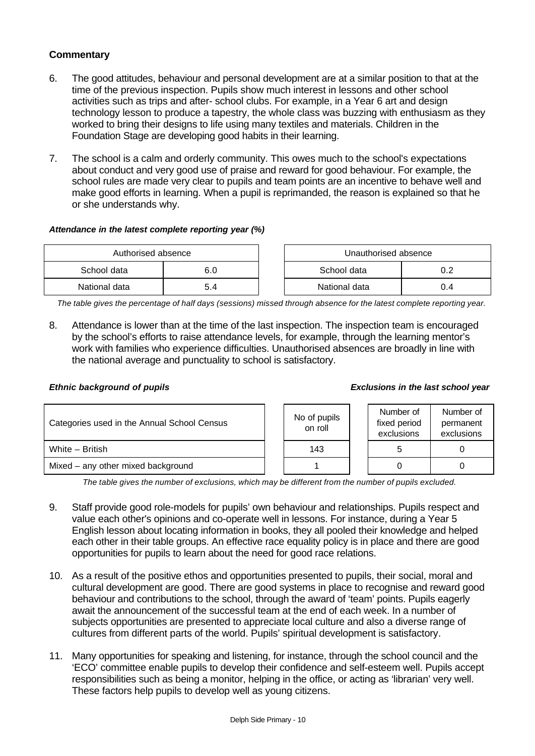# **Commentary**

- 6. The good attitudes, behaviour and personal development are at a similar position to that at the time of the previous inspection. Pupils show much interest in lessons and other school activities such as trips and after- school clubs. For example, in a Year 6 art and design technology lesson to produce a tapestry, the whole class was buzzing with enthusiasm as they worked to bring their designs to life using many textiles and materials. Children in the Foundation Stage are developing good habits in their learning.
- 7. The school is a calm and orderly community. This owes much to the school's expectations about conduct and very good use of praise and reward for good behaviour. For example, the school rules are made very clear to pupils and team points are an incentive to behave well and make good efforts in learning. When a pupil is reprimanded, the reason is explained so that he or she understands why.

#### *Attendance in the latest complete reporting year (%)*

| Authorised absence |     |  | Unauthorised absence |     |
|--------------------|-----|--|----------------------|-----|
| School data        | 6.0 |  | School data          |     |
| National data      | 5.4 |  | National data        | υ.4 |

*The table gives the percentage of half days (sessions) missed through absence for the latest complete reporting year.*

8. Attendance is lower than at the time of the last inspection. The inspection team is encouraged by the school's efforts to raise attendance levels, for example, through the learning mentor's work with families who experience difficulties. Unauthorised absences are broadly in line with the national average and punctuality to school is satisfactory.

#### *Ethnic background of pupils Exclusions in the last school year*

| Categories used in the Annual School Census | No of pupils<br>on roll | Number of<br>fixed period<br>exclusions | Number of<br>permanent<br>exclusions |
|---------------------------------------------|-------------------------|-----------------------------------------|--------------------------------------|
| White - British                             | 143                     |                                         |                                      |
| Mixed – any other mixed background          |                         |                                         |                                      |

*The table gives the number of exclusions, which may be different from the number of pupils excluded.*

- 9. Staff provide good role-models for pupils' own behaviour and relationships. Pupils respect and value each other's opinions and co-operate well in lessons. For instance, during a Year 5 English lesson about locating information in books, they all pooled their knowledge and helped each other in their table groups. An effective race equality policy is in place and there are good opportunities for pupils to learn about the need for good race relations.
- 10. As a result of the positive ethos and opportunities presented to pupils, their social, moral and cultural development are good. There are good systems in place to recognise and reward good behaviour and contributions to the school, through the award of 'team' points. Pupils eagerly await the announcement of the successful team at the end of each week. In a number of subjects opportunities are presented to appreciate local culture and also a diverse range of cultures from different parts of the world. Pupils' spiritual development is satisfactory.
- 11. Many opportunities for speaking and listening, for instance, through the school council and the 'ECO' committee enable pupils to develop their confidence and self-esteem well. Pupils accept responsibilities such as being a monitor, helping in the office, or acting as 'librarian' very well. These factors help pupils to develop well as young citizens.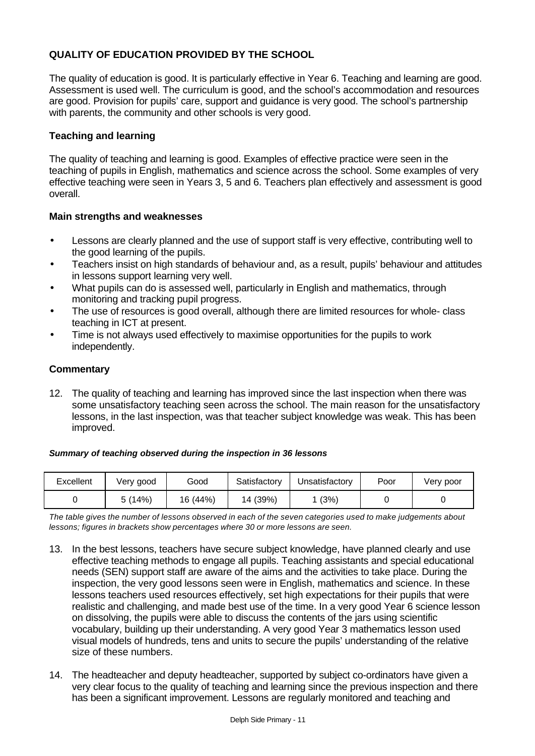# **QUALITY OF EDUCATION PROVIDED BY THE SCHOOL**

The quality of education is good. It is particularly effective in Year 6. Teaching and learning are good. Assessment is used well. The curriculum is good, and the school's accommodation and resources are good. Provision for pupils' care, support and guidance is very good. The school's partnership with parents, the community and other schools is very good.

## **Teaching and learning**

The quality of teaching and learning is good. Examples of effective practice were seen in the teaching of pupils in English, mathematics and science across the school. Some examples of very effective teaching were seen in Years 3, 5 and 6. Teachers plan effectively and assessment is good overall.

## **Main strengths and weaknesses**

- Lessons are clearly planned and the use of support staff is very effective, contributing well to the good learning of the pupils.
- Teachers insist on high standards of behaviour and, as a result, pupils' behaviour and attitudes in lessons support learning very well.
- What pupils can do is assessed well, particularly in English and mathematics, through monitoring and tracking pupil progress.
- The use of resources is good overall, although there are limited resources for whole- class teaching in ICT at present.
- Time is not always used effectively to maximise opportunities for the pupils to work independently.

## **Commentary**

12. The quality of teaching and learning has improved since the last inspection when there was some unsatisfactory teaching seen across the school. The main reason for the unsatisfactory lessons, in the last inspection, was that teacher subject knowledge was weak. This has been improved.

#### *Summary of teaching observed during the inspection in 36 lessons*

| Excellent | Very good | Good     | Satisfactory | Unsatisfactory | Poor | Very poor |
|-----------|-----------|----------|--------------|----------------|------|-----------|
|           | 5(14%)    | 16 (44%) | 14 (39%)     | (3%)           |      |           |

*The table gives the number of lessons observed in each of the seven categories used to make judgements about lessons; figures in brackets show percentages where 30 or more lessons are seen.*

- 13. In the best lessons, teachers have secure subject knowledge, have planned clearly and use effective teaching methods to engage all pupils. Teaching assistants and special educational needs (SEN) support staff are aware of the aims and the activities to take place. During the inspection, the very good lessons seen were in English, mathematics and science. In these lessons teachers used resources effectively, set high expectations for their pupils that were realistic and challenging, and made best use of the time. In a very good Year 6 science lesson on dissolving, the pupils were able to discuss the contents of the jars using scientific vocabulary, building up their understanding. A very good Year 3 mathematics lesson used visual models of hundreds, tens and units to secure the pupils' understanding of the relative size of these numbers.
- 14. The headteacher and deputy headteacher, supported by subject co-ordinators have given a very clear focus to the quality of teaching and learning since the previous inspection and there has been a significant improvement. Lessons are regularly monitored and teaching and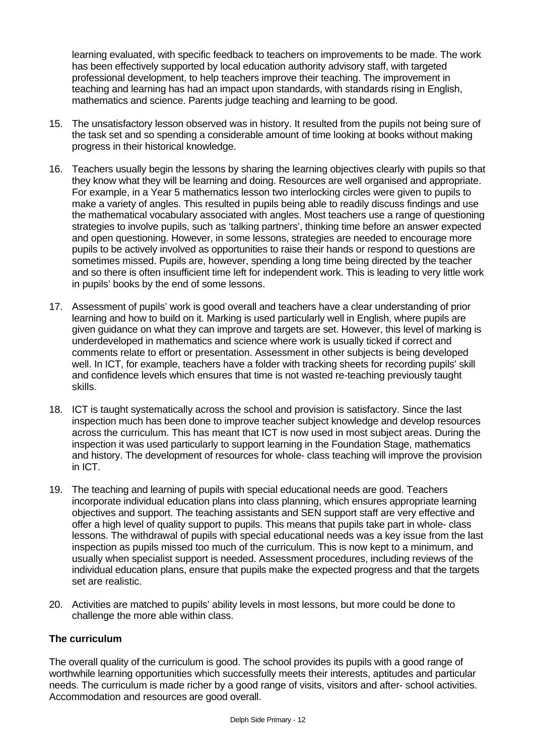learning evaluated, with specific feedback to teachers on improvements to be made. The work has been effectively supported by local education authority advisory staff, with targeted professional development, to help teachers improve their teaching. The improvement in teaching and learning has had an impact upon standards, with standards rising in English, mathematics and science. Parents judge teaching and learning to be good.

- 15. The unsatisfactory lesson observed was in history. It resulted from the pupils not being sure of the task set and so spending a considerable amount of time looking at books without making progress in their historical knowledge.
- 16. Teachers usually begin the lessons by sharing the learning objectives clearly with pupils so that they know what they will be learning and doing. Resources are well organised and appropriate. For example, in a Year 5 mathematics lesson two interlocking circles were given to pupils to make a variety of angles. This resulted in pupils being able to readily discuss findings and use the mathematical vocabulary associated with angles. Most teachers use a range of questioning strategies to involve pupils, such as 'talking partners', thinking time before an answer expected and open questioning. However, in some lessons, strategies are needed to encourage more pupils to be actively involved as opportunities to raise their hands or respond to questions are sometimes missed. Pupils are, however, spending a long time being directed by the teacher and so there is often insufficient time left for independent work. This is leading to very little work in pupils' books by the end of some lessons.
- 17. Assessment of pupils' work is good overall and teachers have a clear understanding of prior learning and how to build on it. Marking is used particularly well in English, where pupils are given guidance on what they can improve and targets are set. However, this level of marking is underdeveloped in mathematics and science where work is usually ticked if correct and comments relate to effort or presentation. Assessment in other subjects is being developed well. In ICT, for example, teachers have a folder with tracking sheets for recording pupils' skill and confidence levels which ensures that time is not wasted re-teaching previously taught skills.
- 18. ICT is taught systematically across the school and provision is satisfactory. Since the last inspection much has been done to improve teacher subject knowledge and develop resources across the curriculum. This has meant that ICT is now used in most subject areas. During the inspection it was used particularly to support learning in the Foundation Stage, mathematics and history. The development of resources for whole- class teaching will improve the provision in ICT.
- 19. The teaching and learning of pupils with special educational needs are good. Teachers incorporate individual education plans into class planning, which ensures appropriate learning objectives and support. The teaching assistants and SEN support staff are very effective and offer a high level of quality support to pupils. This means that pupils take part in whole- class lessons. The withdrawal of pupils with special educational needs was a key issue from the last inspection as pupils missed too much of the curriculum. This is now kept to a minimum, and usually when specialist support is needed. Assessment procedures, including reviews of the individual education plans, ensure that pupils make the expected progress and that the targets set are realistic.
- 20. Activities are matched to pupils' ability levels in most lessons, but more could be done to challenge the more able within class.

# **The curriculum**

The overall quality of the curriculum is good. The school provides its pupils with a good range of worthwhile learning opportunities which successfully meets their interests, aptitudes and particular needs. The curriculum is made richer by a good range of visits, visitors and after- school activities. Accommodation and resources are good overall.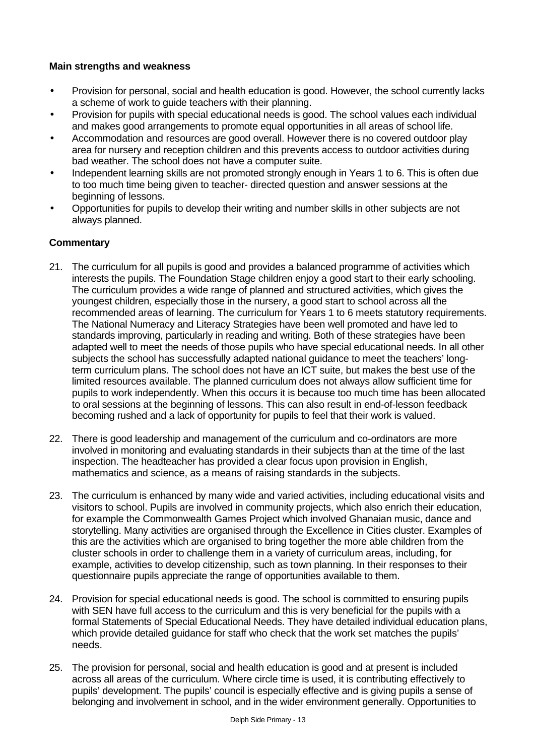# **Main strengths and weakness**

- Provision for personal, social and health education is good. However, the school currently lacks a scheme of work to guide teachers with their planning.
- Provision for pupils with special educational needs is good. The school values each individual and makes good arrangements to promote equal opportunities in all areas of school life.
- Accommodation and resources are good overall. However there is no covered outdoor play area for nursery and reception children and this prevents access to outdoor activities during bad weather. The school does not have a computer suite.
- Independent learning skills are not promoted strongly enough in Years 1 to 6. This is often due to too much time being given to teacher- directed question and answer sessions at the beginning of lessons.
- Opportunities for pupils to develop their writing and number skills in other subjects are not always planned.

## **Commentary**

- 21. The curriculum for all pupils is good and provides a balanced programme of activities which interests the pupils. The Foundation Stage children enjoy a good start to their early schooling. The curriculum provides a wide range of planned and structured activities, which gives the youngest children, especially those in the nursery, a good start to school across all the recommended areas of learning. The curriculum for Years 1 to 6 meets statutory requirements. The National Numeracy and Literacy Strategies have been well promoted and have led to standards improving, particularly in reading and writing. Both of these strategies have been adapted well to meet the needs of those pupils who have special educational needs. In all other subjects the school has successfully adapted national guidance to meet the teachers' longterm curriculum plans. The school does not have an ICT suite, but makes the best use of the limited resources available. The planned curriculum does not always allow sufficient time for pupils to work independently. When this occurs it is because too much time has been allocated to oral sessions at the beginning of lessons. This can also result in end-of-lesson feedback becoming rushed and a lack of opportunity for pupils to feel that their work is valued.
- 22. There is good leadership and management of the curriculum and co-ordinators are more involved in monitoring and evaluating standards in their subjects than at the time of the last inspection. The headteacher has provided a clear focus upon provision in English, mathematics and science, as a means of raising standards in the subjects.
- 23. The curriculum is enhanced by many wide and varied activities, including educational visits and visitors to school. Pupils are involved in community projects, which also enrich their education, for example the Commonwealth Games Project which involved Ghanaian music, dance and storytelling. Many activities are organised through the Excellence in Cities cluster. Examples of this are the activities which are organised to bring together the more able children from the cluster schools in order to challenge them in a variety of curriculum areas, including, for example, activities to develop citizenship, such as town planning. In their responses to their questionnaire pupils appreciate the range of opportunities available to them.
- 24. Provision for special educational needs is good. The school is committed to ensuring pupils with SEN have full access to the curriculum and this is very beneficial for the pupils with a formal Statements of Special Educational Needs. They have detailed individual education plans, which provide detailed guidance for staff who check that the work set matches the pupils' needs.
- 25. The provision for personal, social and health education is good and at present is included across all areas of the curriculum. Where circle time is used, it is contributing effectively to pupils' development. The pupils' council is especially effective and is giving pupils a sense of belonging and involvement in school, and in the wider environment generally. Opportunities to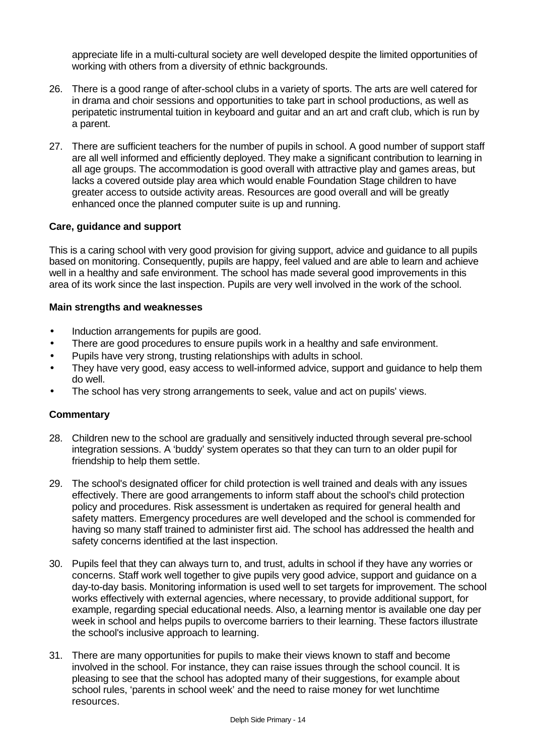appreciate life in a multi-cultural society are well developed despite the limited opportunities of working with others from a diversity of ethnic backgrounds.

- 26. There is a good range of after-school clubs in a variety of sports. The arts are well catered for in drama and choir sessions and opportunities to take part in school productions, as well as peripatetic instrumental tuition in keyboard and guitar and an art and craft club, which is run by a parent.
- 27. There are sufficient teachers for the number of pupils in school. A good number of support staff are all well informed and efficiently deployed. They make a significant contribution to learning in all age groups. The accommodation is good overall with attractive play and games areas, but lacks a covered outside play area which would enable Foundation Stage children to have greater access to outside activity areas. Resources are good overall and will be greatly enhanced once the planned computer suite is up and running.

## **Care, guidance and support**

This is a caring school with very good provision for giving support, advice and guidance to all pupils based on monitoring. Consequently, pupils are happy, feel valued and are able to learn and achieve well in a healthy and safe environment. The school has made several good improvements in this area of its work since the last inspection. Pupils are very well involved in the work of the school.

## **Main strengths and weaknesses**

- Induction arrangements for pupils are good.
- There are good procedures to ensure pupils work in a healthy and safe environment.
- Pupils have very strong, trusting relationships with adults in school.
- They have very good, easy access to well-informed advice, support and guidance to help them do well.
- The school has very strong arrangements to seek, value and act on pupils' views.

## **Commentary**

- 28. Children new to the school are gradually and sensitively inducted through several pre-school integration sessions. A 'buddy' system operates so that they can turn to an older pupil for friendship to help them settle.
- 29. The school's designated officer for child protection is well trained and deals with any issues effectively. There are good arrangements to inform staff about the school's child protection policy and procedures. Risk assessment is undertaken as required for general health and safety matters. Emergency procedures are well developed and the school is commended for having so many staff trained to administer first aid. The school has addressed the health and safety concerns identified at the last inspection.
- 30. Pupils feel that they can always turn to, and trust, adults in school if they have any worries or concerns. Staff work well together to give pupils very good advice, support and guidance on a day-to-day basis. Monitoring information is used well to set targets for improvement. The school works effectively with external agencies, where necessary, to provide additional support, for example, regarding special educational needs. Also, a learning mentor is available one day per week in school and helps pupils to overcome barriers to their learning. These factors illustrate the school's inclusive approach to learning.
- 31. There are many opportunities for pupils to make their views known to staff and become involved in the school. For instance, they can raise issues through the school council. It is pleasing to see that the school has adopted many of their suggestions, for example about school rules, 'parents in school week' and the need to raise money for wet lunchtime resources.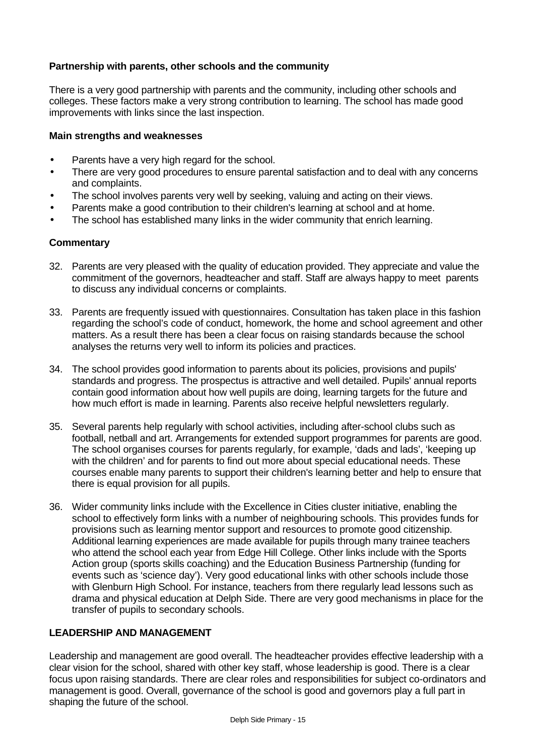# **Partnership with parents, other schools and the community**

There is a very good partnership with parents and the community, including other schools and colleges. These factors make a very strong contribution to learning. The school has made good improvements with links since the last inspection.

## **Main strengths and weaknesses**

- Parents have a very high regard for the school.
- There are very good procedures to ensure parental satisfaction and to deal with any concerns and complaints.
- The school involves parents very well by seeking, valuing and acting on their views.
- Parents make a good contribution to their children's learning at school and at home.
- The school has established many links in the wider community that enrich learning.

## **Commentary**

- 32. Parents are very pleased with the quality of education provided. They appreciate and value the commitment of the governors, headteacher and staff. Staff are always happy to meet parents to discuss any individual concerns or complaints.
- 33. Parents are frequently issued with questionnaires. Consultation has taken place in this fashion regarding the school's code of conduct, homework, the home and school agreement and other matters. As a result there has been a clear focus on raising standards because the school analyses the returns very well to inform its policies and practices.
- 34. The school provides good information to parents about its policies, provisions and pupils' standards and progress. The prospectus is attractive and well detailed. Pupils' annual reports contain good information about how well pupils are doing, learning targets for the future and how much effort is made in learning. Parents also receive helpful newsletters regularly.
- 35. Several parents help regularly with school activities, including after-school clubs such as football, netball and art. Arrangements for extended support programmes for parents are good. The school organises courses for parents regularly, for example, 'dads and lads', 'keeping up with the children' and for parents to find out more about special educational needs. These courses enable many parents to support their children's learning better and help to ensure that there is equal provision for all pupils.
- 36. Wider community links include with the Excellence in Cities cluster initiative, enabling the school to effectively form links with a number of neighbouring schools. This provides funds for provisions such as learning mentor support and resources to promote good citizenship. Additional learning experiences are made available for pupils through many trainee teachers who attend the school each year from Edge Hill College. Other links include with the Sports Action group (sports skills coaching) and the Education Business Partnership (funding for events such as 'science day'). Very good educational links with other schools include those with Glenburn High School. For instance, teachers from there regularly lead lessons such as drama and physical education at Delph Side. There are very good mechanisms in place for the transfer of pupils to secondary schools.

## **LEADERSHIP AND MANAGEMENT**

Leadership and management are good overall. The headteacher provides effective leadership with a clear vision for the school, shared with other key staff, whose leadership is good. There is a clear focus upon raising standards. There are clear roles and responsibilities for subject co-ordinators and management is good. Overall, governance of the school is good and governors play a full part in shaping the future of the school.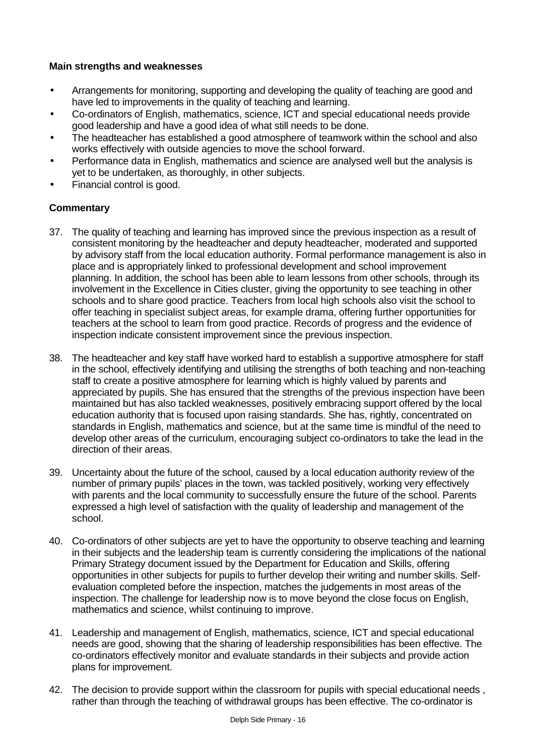## **Main strengths and weaknesses**

- Arrangements for monitoring, supporting and developing the quality of teaching are good and have led to improvements in the quality of teaching and learning.
- Co-ordinators of English, mathematics, science, ICT and special educational needs provide good leadership and have a good idea of what still needs to be done.
- The headteacher has established a good atmosphere of teamwork within the school and also works effectively with outside agencies to move the school forward.
- Performance data in English, mathematics and science are analysed well but the analysis is yet to be undertaken, as thoroughly, in other subjects.
- Financial control is good.

# **Commentary**

- 37. The quality of teaching and learning has improved since the previous inspection as a result of consistent monitoring by the headteacher and deputy headteacher, moderated and supported by advisory staff from the local education authority. Formal performance management is also in place and is appropriately linked to professional development and school improvement planning. In addition, the school has been able to learn lessons from other schools, through its involvement in the Excellence in Cities cluster, giving the opportunity to see teaching in other schools and to share good practice. Teachers from local high schools also visit the school to offer teaching in specialist subject areas, for example drama, offering further opportunities for teachers at the school to learn from good practice. Records of progress and the evidence of inspection indicate consistent improvement since the previous inspection.
- 38. The headteacher and key staff have worked hard to establish a supportive atmosphere for staff in the school, effectively identifying and utilising the strengths of both teaching and non-teaching staff to create a positive atmosphere for learning which is highly valued by parents and appreciated by pupils. She has ensured that the strengths of the previous inspection have been maintained but has also tackled weaknesses, positively embracing support offered by the local education authority that is focused upon raising standards. She has, rightly, concentrated on standards in English, mathematics and science, but at the same time is mindful of the need to develop other areas of the curriculum, encouraging subject co-ordinators to take the lead in the direction of their areas.
- 39. Uncertainty about the future of the school, caused by a local education authority review of the number of primary pupils' places in the town, was tackled positively, working very effectively with parents and the local community to successfully ensure the future of the school. Parents expressed a high level of satisfaction with the quality of leadership and management of the school.
- 40. Co-ordinators of other subjects are yet to have the opportunity to observe teaching and learning in their subjects and the leadership team is currently considering the implications of the national Primary Strategy document issued by the Department for Education and Skills, offering opportunities in other subjects for pupils to further develop their writing and number skills. Selfevaluation completed before the inspection, matches the judgements in most areas of the inspection. The challenge for leadership now is to move beyond the close focus on English, mathematics and science, whilst continuing to improve.
- 41. Leadership and management of English, mathematics, science, ICT and special educational needs are good, showing that the sharing of leadership responsibilities has been effective. The co-ordinators effectively monitor and evaluate standards in their subjects and provide action plans for improvement.
- 42. The decision to provide support within the classroom for pupils with special educational needs , rather than through the teaching of withdrawal groups has been effective. The co-ordinator is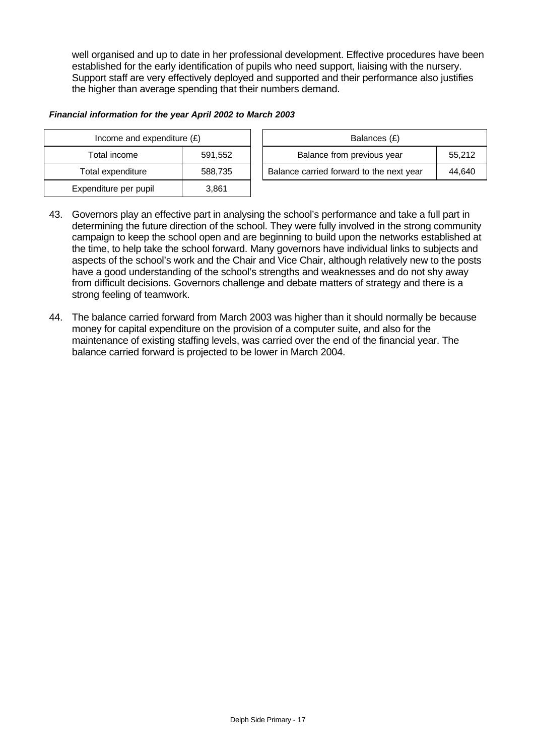well organised and up to date in her professional development. Effective procedures have been established for the early identification of pupils who need support, liaising with the nursery. Support staff are very effectively deployed and supported and their performance also justifies the higher than average spending that their numbers demand.

#### *Financial information for the year April 2002 to March 2003*

| Income and expenditure $(E)$ |         | Balances (£)                             |        |
|------------------------------|---------|------------------------------------------|--------|
| Total income                 | 591.552 | Balance from previous year               | 55.212 |
| Total expenditure            | 588.735 | Balance carried forward to the next year | 44,640 |
| Expenditure per pupil        | 3,861   |                                          |        |

- 43. Governors play an effective part in analysing the school's performance and take a full part in determining the future direction of the school. They were fully involved in the strong community campaign to keep the school open and are beginning to build upon the networks established at the time, to help take the school forward. Many governors have individual links to subjects and aspects of the school's work and the Chair and Vice Chair, although relatively new to the posts have a good understanding of the school's strengths and weaknesses and do not shy away from difficult decisions. Governors challenge and debate matters of strategy and there is a strong feeling of teamwork.
- 44. The balance carried forward from March 2003 was higher than it should normally be because money for capital expenditure on the provision of a computer suite, and also for the maintenance of existing staffing levels, was carried over the end of the financial year. The balance carried forward is projected to be lower in March 2004.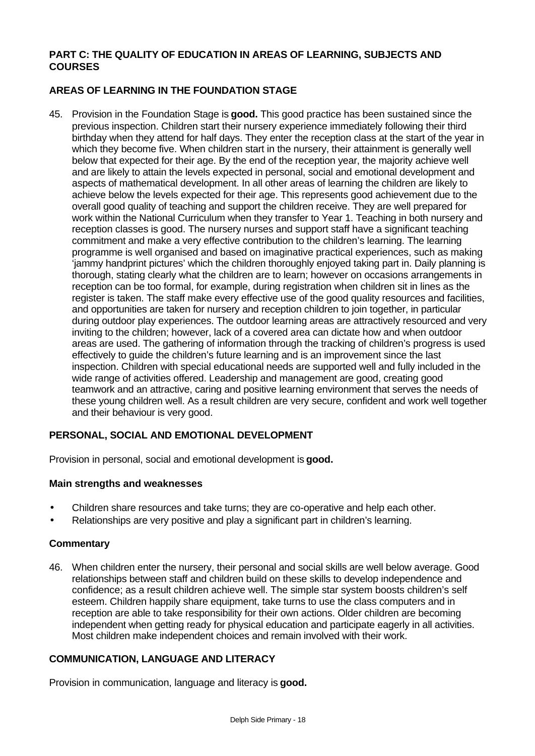## **PART C: THE QUALITY OF EDUCATION IN AREAS OF LEARNING, SUBJECTS AND COURSES**

# **AREAS OF LEARNING IN THE FOUNDATION STAGE**

45. Provision in the Foundation Stage is **good.** This good practice has been sustained since the previous inspection. Children start their nursery experience immediately following their third birthday when they attend for half days. They enter the reception class at the start of the year in which they become five. When children start in the nursery, their attainment is generally well below that expected for their age. By the end of the reception year, the majority achieve well and are likely to attain the levels expected in personal, social and emotional development and aspects of mathematical development. In all other areas of learning the children are likely to achieve below the levels expected for their age. This represents good achievement due to the overall good quality of teaching and support the children receive. They are well prepared for work within the National Curriculum when they transfer to Year 1. Teaching in both nursery and reception classes is good. The nursery nurses and support staff have a significant teaching commitment and make a very effective contribution to the children's learning. The learning programme is well organised and based on imaginative practical experiences, such as making 'jammy handprint pictures' which the children thoroughly enjoyed taking part in. Daily planning is thorough, stating clearly what the children are to learn; however on occasions arrangements in reception can be too formal, for example, during registration when children sit in lines as the register is taken. The staff make every effective use of the good quality resources and facilities, and opportunities are taken for nursery and reception children to join together, in particular during outdoor play experiences. The outdoor learning areas are attractively resourced and very inviting to the children; however, lack of a covered area can dictate how and when outdoor areas are used. The gathering of information through the tracking of children's progress is used effectively to guide the children's future learning and is an improvement since the last inspection. Children with special educational needs are supported well and fully included in the wide range of activities offered. Leadership and management are good, creating good teamwork and an attractive, caring and positive learning environment that serves the needs of these young children well. As a result children are very secure, confident and work well together and their behaviour is very good.

# **PERSONAL, SOCIAL AND EMOTIONAL DEVELOPMENT**

Provision in personal, social and emotional development is **good.**

## **Main strengths and weaknesses**

- Children share resources and take turns; they are co-operative and help each other.
- Relationships are very positive and play a significant part in children's learning.

#### **Commentary**

46. When children enter the nursery, their personal and social skills are well below average. Good relationships between staff and children build on these skills to develop independence and confidence; as a result children achieve well. The simple star system boosts children's self esteem. Children happily share equipment, take turns to use the class computers and in reception are able to take responsibility for their own actions. Older children are becoming independent when getting ready for physical education and participate eagerly in all activities. Most children make independent choices and remain involved with their work.

## **COMMUNICATION, LANGUAGE AND LITERACY**

Provision in communication, language and literacy is **good.**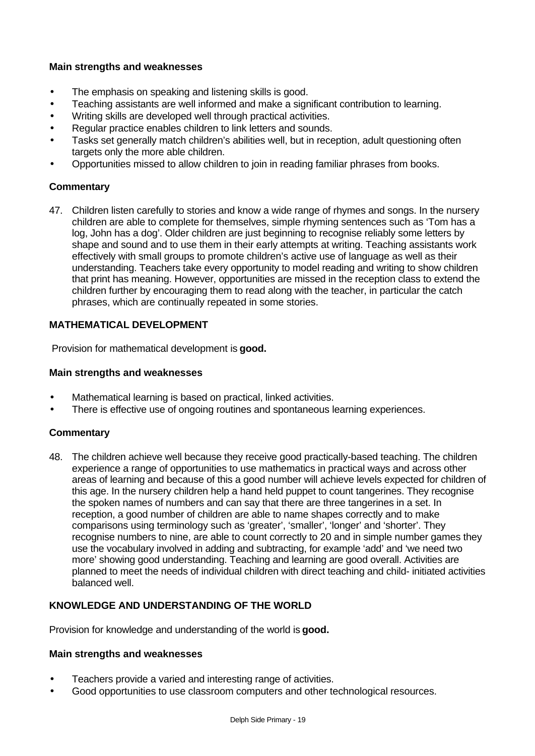## **Main strengths and weaknesses**

- The emphasis on speaking and listening skills is good.
- Teaching assistants are well informed and make a significant contribution to learning.
- Writing skills are developed well through practical activities.
- Regular practice enables children to link letters and sounds.
- Tasks set generally match children's abilities well, but in reception, adult questioning often targets only the more able children.
- Opportunities missed to allow children to join in reading familiar phrases from books.

## **Commentary**

47. Children listen carefully to stories and know a wide range of rhymes and songs. In the nursery children are able to complete for themselves, simple rhyming sentences such as 'Tom has a log, John has a dog'. Older children are just beginning to recognise reliably some letters by shape and sound and to use them in their early attempts at writing. Teaching assistants work effectively with small groups to promote children's active use of language as well as their understanding. Teachers take every opportunity to model reading and writing to show children that print has meaning. However, opportunities are missed in the reception class to extend the children further by encouraging them to read along with the teacher, in particular the catch phrases, which are continually repeated in some stories.

## **MATHEMATICAL DEVELOPMENT**

Provision for mathematical development is **good.**

#### **Main strengths and weaknesses**

- Mathematical learning is based on practical, linked activities.
- There is effective use of ongoing routines and spontaneous learning experiences.

## **Commentary**

48. The children achieve well because they receive good practically-based teaching. The children experience a range of opportunities to use mathematics in practical ways and across other areas of learning and because of this a good number will achieve levels expected for children of this age. In the nursery children help a hand held puppet to count tangerines. They recognise the spoken names of numbers and can say that there are three tangerines in a set. In reception, a good number of children are able to name shapes correctly and to make comparisons using terminology such as 'greater', 'smaller', 'longer' and 'shorter'. They recognise numbers to nine, are able to count correctly to 20 and in simple number games they use the vocabulary involved in adding and subtracting, for example 'add' and 'we need two more' showing good understanding. Teaching and learning are good overall. Activities are planned to meet the needs of individual children with direct teaching and child- initiated activities balanced well.

# **KNOWLEDGE AND UNDERSTANDING OF THE WORLD**

Provision for knowledge and understanding of the world is **good.**

## **Main strengths and weaknesses**

- Teachers provide a varied and interesting range of activities.
- Good opportunities to use classroom computers and other technological resources.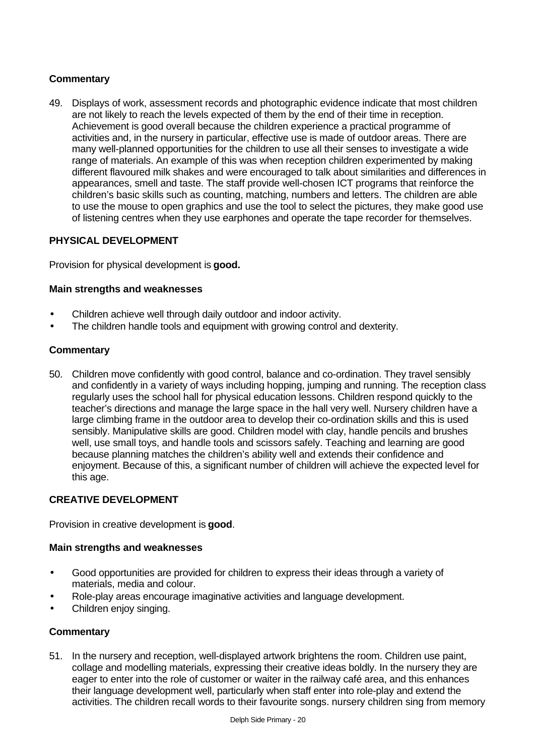# **Commentary**

49. Displays of work, assessment records and photographic evidence indicate that most children are not likely to reach the levels expected of them by the end of their time in reception. Achievement is good overall because the children experience a practical programme of activities and, in the nursery in particular, effective use is made of outdoor areas. There are many well-planned opportunities for the children to use all their senses to investigate a wide range of materials. An example of this was when reception children experimented by making different flavoured milk shakes and were encouraged to talk about similarities and differences in appearances, smell and taste. The staff provide well-chosen ICT programs that reinforce the children's basic skills such as counting, matching, numbers and letters. The children are able to use the mouse to open graphics and use the tool to select the pictures, they make good use of listening centres when they use earphones and operate the tape recorder for themselves.

## **PHYSICAL DEVELOPMENT**

Provision for physical development is **good.**

## **Main strengths and weaknesses**

- Children achieve well through daily outdoor and indoor activity.
- The children handle tools and equipment with growing control and dexterity.

## **Commentary**

50. Children move confidently with good control, balance and co-ordination. They travel sensibly and confidently in a variety of ways including hopping, jumping and running. The reception class regularly uses the school hall for physical education lessons. Children respond quickly to the teacher's directions and manage the large space in the hall very well. Nursery children have a large climbing frame in the outdoor area to develop their co-ordination skills and this is used sensibly. Manipulative skills are good. Children model with clay, handle pencils and brushes well, use small toys, and handle tools and scissors safely. Teaching and learning are good because planning matches the children's ability well and extends their confidence and enjoyment. Because of this, a significant number of children will achieve the expected level for this age.

# **CREATIVE DEVELOPMENT**

Provision in creative development is **good**.

## **Main strengths and weaknesses**

- Good opportunities are provided for children to express their ideas through a variety of materials, media and colour.
- Role-play areas encourage imaginative activities and language development.
- Children enjoy singing.

## **Commentary**

51. In the nursery and reception, well-displayed artwork brightens the room. Children use paint, collage and modelling materials, expressing their creative ideas boldly. In the nursery they are eager to enter into the role of customer or waiter in the railway café area, and this enhances their language development well, particularly when staff enter into role-play and extend the activities. The children recall words to their favourite songs. nursery children sing from memory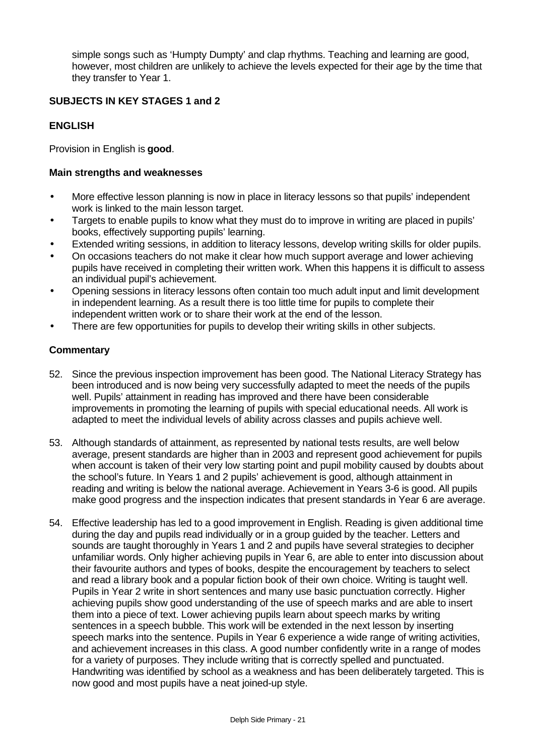simple songs such as 'Humpty Dumpty' and clap rhythms. Teaching and learning are good, however, most children are unlikely to achieve the levels expected for their age by the time that they transfer to Year 1.

# **SUBJECTS IN KEY STAGES 1 and 2**

## **ENGLISH**

Provision in English is **good**.

#### **Main strengths and weaknesses**

- More effective lesson planning is now in place in literacy lessons so that pupils' independent work is linked to the main lesson target.
- Targets to enable pupils to know what they must do to improve in writing are placed in pupils' books, effectively supporting pupils' learning.
- Extended writing sessions, in addition to literacy lessons, develop writing skills for older pupils.
- On occasions teachers do not make it clear how much support average and lower achieving pupils have received in completing their written work. When this happens it is difficult to assess an individual pupil's achievement.
- Opening sessions in literacy lessons often contain too much adult input and limit development in independent learning. As a result there is too little time for pupils to complete their independent written work or to share their work at the end of the lesson.
- There are few opportunities for pupils to develop their writing skills in other subjects.

#### **Commentary**

- 52. Since the previous inspection improvement has been good. The National Literacy Strategy has been introduced and is now being very successfully adapted to meet the needs of the pupils well. Pupils' attainment in reading has improved and there have been considerable improvements in promoting the learning of pupils with special educational needs. All work is adapted to meet the individual levels of ability across classes and pupils achieve well.
- 53. Although standards of attainment, as represented by national tests results, are well below average, present standards are higher than in 2003 and represent good achievement for pupils when account is taken of their very low starting point and pupil mobility caused by doubts about the school's future. In Years 1 and 2 pupils' achievement is good, although attainment in reading and writing is below the national average. Achievement in Years 3-6 is good. All pupils make good progress and the inspection indicates that present standards in Year 6 are average.
- 54. Effective leadership has led to a good improvement in English. Reading is given additional time during the day and pupils read individually or in a group guided by the teacher. Letters and sounds are taught thoroughly in Years 1 and 2 and pupils have several strategies to decipher unfamiliar words. Only higher achieving pupils in Year 6, are able to enter into discussion about their favourite authors and types of books, despite the encouragement by teachers to select and read a library book and a popular fiction book of their own choice. Writing is taught well. Pupils in Year 2 write in short sentences and many use basic punctuation correctly. Higher achieving pupils show good understanding of the use of speech marks and are able to insert them into a piece of text. Lower achieving pupils learn about speech marks by writing sentences in a speech bubble. This work will be extended in the next lesson by inserting speech marks into the sentence. Pupils in Year 6 experience a wide range of writing activities, and achievement increases in this class. A good number confidently write in a range of modes for a variety of purposes. They include writing that is correctly spelled and punctuated. Handwriting was identified by school as a weakness and has been deliberately targeted. This is now good and most pupils have a neat joined-up style.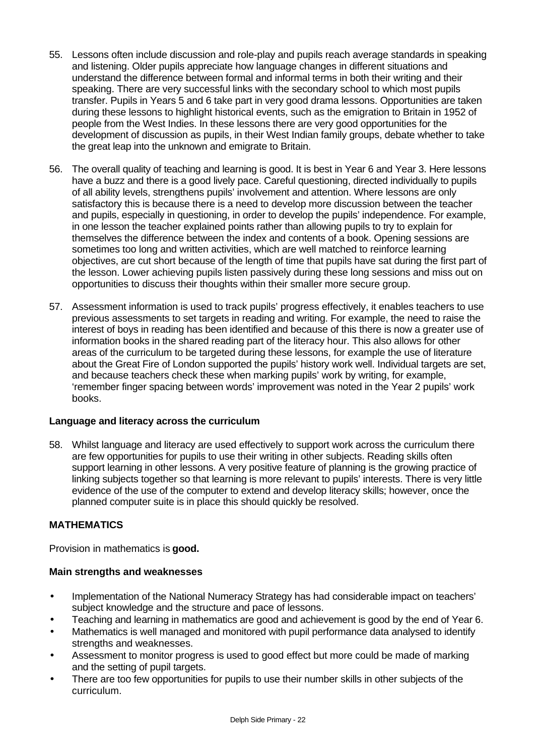- 55. Lessons often include discussion and role-play and pupils reach average standards in speaking and listening. Older pupils appreciate how language changes in different situations and understand the difference between formal and informal terms in both their writing and their speaking. There are very successful links with the secondary school to which most pupils transfer. Pupils in Years 5 and 6 take part in very good drama lessons. Opportunities are taken during these lessons to highlight historical events, such as the emigration to Britain in 1952 of people from the West Indies. In these lessons there are very good opportunities for the development of discussion as pupils, in their West Indian family groups, debate whether to take the great leap into the unknown and emigrate to Britain.
- 56. The overall quality of teaching and learning is good. It is best in Year 6 and Year 3. Here lessons have a buzz and there is a good lively pace. Careful questioning, directed individually to pupils of all ability levels, strengthens pupils' involvement and attention. Where lessons are only satisfactory this is because there is a need to develop more discussion between the teacher and pupils, especially in questioning, in order to develop the pupils' independence. For example, in one lesson the teacher explained points rather than allowing pupils to try to explain for themselves the difference between the index and contents of a book. Opening sessions are sometimes too long and written activities, which are well matched to reinforce learning objectives, are cut short because of the length of time that pupils have sat during the first part of the lesson. Lower achieving pupils listen passively during these long sessions and miss out on opportunities to discuss their thoughts within their smaller more secure group.
- 57. Assessment information is used to track pupils' progress effectively, it enables teachers to use previous assessments to set targets in reading and writing. For example, the need to raise the interest of boys in reading has been identified and because of this there is now a greater use of information books in the shared reading part of the literacy hour. This also allows for other areas of the curriculum to be targeted during these lessons, for example the use of literature about the Great Fire of London supported the pupils' history work well. Individual targets are set, and because teachers check these when marking pupils' work by writing, for example, 'remember finger spacing between words' improvement was noted in the Year 2 pupils' work books.

## **Language and literacy across the curriculum**

58. Whilst language and literacy are used effectively to support work across the curriculum there are few opportunities for pupils to use their writing in other subjects. Reading skills often support learning in other lessons. A very positive feature of planning is the growing practice of linking subjects together so that learning is more relevant to pupils' interests. There is very little evidence of the use of the computer to extend and develop literacy skills; however, once the planned computer suite is in place this should quickly be resolved.

# **MATHEMATICS**

Provision in mathematics is **good.**

## **Main strengths and weaknesses**

- Implementation of the National Numeracy Strategy has had considerable impact on teachers' subject knowledge and the structure and pace of lessons.
- Teaching and learning in mathematics are good and achievement is good by the end of Year 6.
- Mathematics is well managed and monitored with pupil performance data analysed to identify strengths and weaknesses.
- Assessment to monitor progress is used to good effect but more could be made of marking and the setting of pupil targets.
- There are too few opportunities for pupils to use their number skills in other subjects of the curriculum.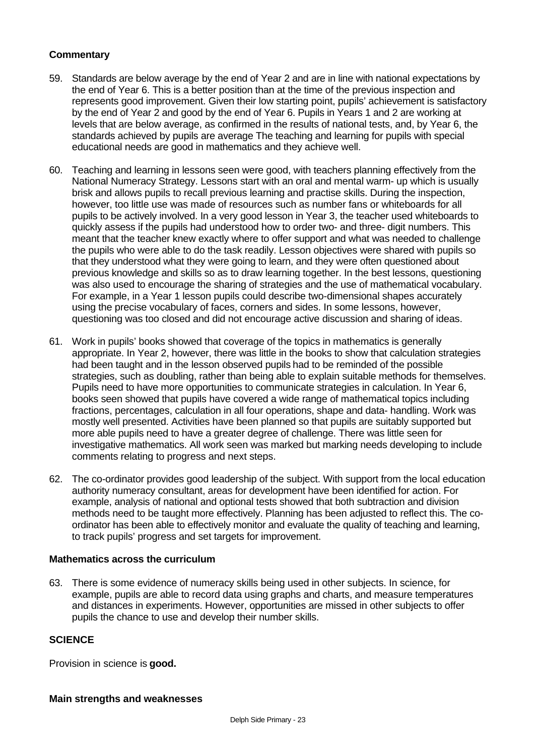# **Commentary**

- 59. Standards are below average by the end of Year 2 and are in line with national expectations by the end of Year 6. This is a better position than at the time of the previous inspection and represents good improvement. Given their low starting point, pupils' achievement is satisfactory by the end of Year 2 and good by the end of Year 6. Pupils in Years 1 and 2 are working at levels that are below average, as confirmed in the results of national tests, and, by Year 6, the standards achieved by pupils are average The teaching and learning for pupils with special educational needs are good in mathematics and they achieve well.
- 60. Teaching and learning in lessons seen were good, with teachers planning effectively from the National Numeracy Strategy. Lessons start with an oral and mental warm- up which is usually brisk and allows pupils to recall previous learning and practise skills. During the inspection, however, too little use was made of resources such as number fans or whiteboards for all pupils to be actively involved. In a very good lesson in Year 3, the teacher used whiteboards to quickly assess if the pupils had understood how to order two- and three- digit numbers. This meant that the teacher knew exactly where to offer support and what was needed to challenge the pupils who were able to do the task readily. Lesson objectives were shared with pupils so that they understood what they were going to learn, and they were often questioned about previous knowledge and skills so as to draw learning together. In the best lessons, questioning was also used to encourage the sharing of strategies and the use of mathematical vocabulary. For example, in a Year 1 lesson pupils could describe two-dimensional shapes accurately using the precise vocabulary of faces, corners and sides. In some lessons, however, questioning was too closed and did not encourage active discussion and sharing of ideas.
- 61. Work in pupils' books showed that coverage of the topics in mathematics is generally appropriate. In Year 2, however, there was little in the books to show that calculation strategies had been taught and in the lesson observed pupils had to be reminded of the possible strategies, such as doubling, rather than being able to explain suitable methods for themselves. Pupils need to have more opportunities to communicate strategies in calculation. In Year 6, books seen showed that pupils have covered a wide range of mathematical topics including fractions, percentages, calculation in all four operations, shape and data- handling. Work was mostly well presented. Activities have been planned so that pupils are suitably supported but more able pupils need to have a greater degree of challenge. There was little seen for investigative mathematics. All work seen was marked but marking needs developing to include comments relating to progress and next steps.
- 62. The co-ordinator provides good leadership of the subject. With support from the local education authority numeracy consultant, areas for development have been identified for action. For example, analysis of national and optional tests showed that both subtraction and division methods need to be taught more effectively. Planning has been adjusted to reflect this. The coordinator has been able to effectively monitor and evaluate the quality of teaching and learning, to track pupils' progress and set targets for improvement.

## **Mathematics across the curriculum**

63. There is some evidence of numeracy skills being used in other subjects. In science, for example, pupils are able to record data using graphs and charts, and measure temperatures and distances in experiments. However, opportunities are missed in other subjects to offer pupils the chance to use and develop their number skills.

## **SCIENCE**

Provision in science is **good.**

#### **Main strengths and weaknesses**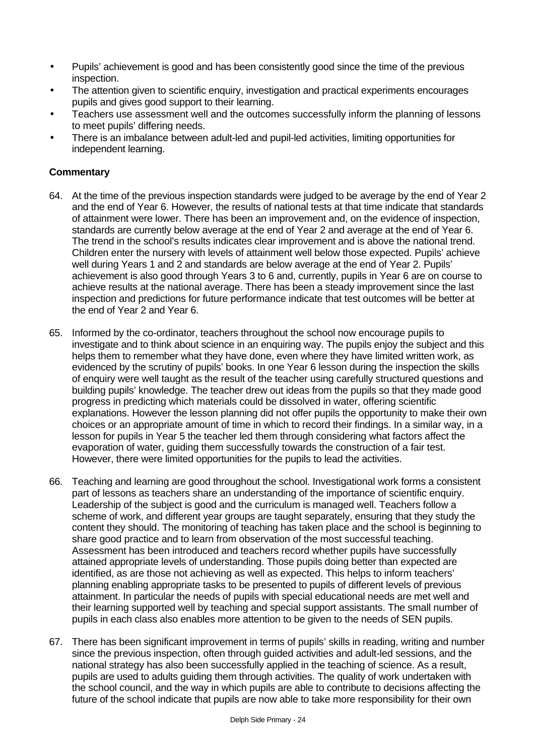- Pupils' achievement is good and has been consistently good since the time of the previous inspection.
- The attention given to scientific enquiry, investigation and practical experiments encourages pupils and gives good support to their learning.
- Teachers use assessment well and the outcomes successfully inform the planning of lessons to meet pupils' differing needs.
- There is an imbalance between adult-led and pupil-led activities, limiting opportunities for independent learning.

# **Commentary**

- 64. At the time of the previous inspection standards were judged to be average by the end of Year 2 and the end of Year 6. However, the results of national tests at that time indicate that standards of attainment were lower. There has been an improvement and, on the evidence of inspection, standards are currently below average at the end of Year 2 and average at the end of Year 6. The trend in the school's results indicates clear improvement and is above the national trend. Children enter the nursery with levels of attainment well below those expected. Pupils' achieve well during Years 1 and 2 and standards are below average at the end of Year 2. Pupils' achievement is also good through Years 3 to 6 and, currently, pupils in Year 6 are on course to achieve results at the national average. There has been a steady improvement since the last inspection and predictions for future performance indicate that test outcomes will be better at the end of Year 2 and Year 6.
- 65. Informed by the co-ordinator, teachers throughout the school now encourage pupils to investigate and to think about science in an enquiring way. The pupils enjoy the subject and this helps them to remember what they have done, even where they have limited written work, as evidenced by the scrutiny of pupils' books. In one Year 6 lesson during the inspection the skills of enquiry were well taught as the result of the teacher using carefully structured questions and building pupils' knowledge. The teacher drew out ideas from the pupils so that they made good progress in predicting which materials could be dissolved in water, offering scientific explanations. However the lesson planning did not offer pupils the opportunity to make their own choices or an appropriate amount of time in which to record their findings. In a similar way, in a lesson for pupils in Year 5 the teacher led them through considering what factors affect the evaporation of water, guiding them successfully towards the construction of a fair test. However, there were limited opportunities for the pupils to lead the activities.
- 66. Teaching and learning are good throughout the school. Investigational work forms a consistent part of lessons as teachers share an understanding of the importance of scientific enquiry. Leadership of the subject is good and the curriculum is managed well. Teachers follow a scheme of work, and different year groups are taught separately, ensuring that they study the content they should. The monitoring of teaching has taken place and the school is beginning to share good practice and to learn from observation of the most successful teaching. Assessment has been introduced and teachers record whether pupils have successfully attained appropriate levels of understanding. Those pupils doing better than expected are identified, as are those not achieving as well as expected. This helps to inform teachers' planning enabling appropriate tasks to be presented to pupils of different levels of previous attainment. In particular the needs of pupils with special educational needs are met well and their learning supported well by teaching and special support assistants. The small number of pupils in each class also enables more attention to be given to the needs of SEN pupils.
- 67. There has been significant improvement in terms of pupils' skills in reading, writing and number since the previous inspection, often through guided activities and adult-led sessions, and the national strategy has also been successfully applied in the teaching of science. As a result, pupils are used to adults guiding them through activities. The quality of work undertaken with the school council, and the way in which pupils are able to contribute to decisions affecting the future of the school indicate that pupils are now able to take more responsibility for their own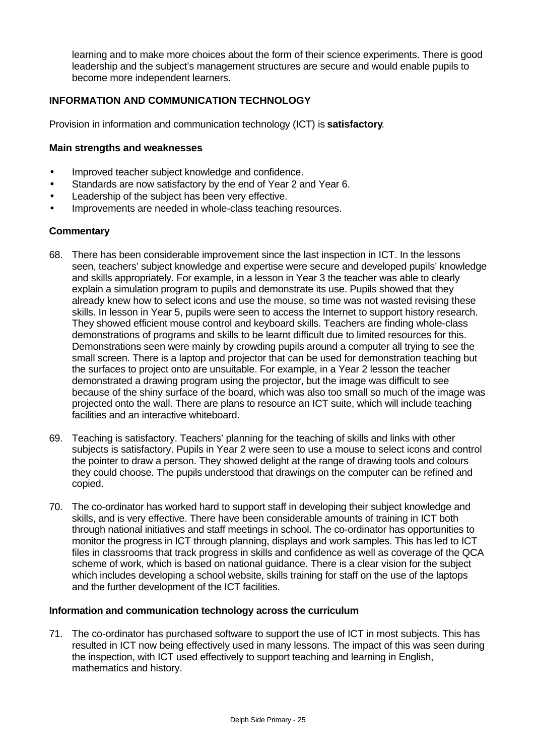learning and to make more choices about the form of their science experiments. There is good leadership and the subject's management structures are secure and would enable pupils to become more independent learners.

## **INFORMATION AND COMMUNICATION TECHNOLOGY**

Provision in information and communication technology (ICT) is **satisfactory**.

#### **Main strengths and weaknesses**

- Improved teacher subject knowledge and confidence.
- Standards are now satisfactory by the end of Year 2 and Year 6.
- Leadership of the subject has been very effective.
- Improvements are needed in whole-class teaching resources.

#### **Commentary**

- 68. There has been considerable improvement since the last inspection in ICT. In the lessons seen, teachers' subject knowledge and expertise were secure and developed pupils' knowledge and skills appropriately. For example, in a lesson in Year 3 the teacher was able to clearly explain a simulation program to pupils and demonstrate its use. Pupils showed that they already knew how to select icons and use the mouse, so time was not wasted revising these skills. In lesson in Year 5, pupils were seen to access the Internet to support history research. They showed efficient mouse control and keyboard skills. Teachers are finding whole-class demonstrations of programs and skills to be learnt difficult due to limited resources for this. Demonstrations seen were mainly by crowding pupils around a computer all trying to see the small screen. There is a laptop and projector that can be used for demonstration teaching but the surfaces to project onto are unsuitable. For example, in a Year 2 lesson the teacher demonstrated a drawing program using the projector, but the image was difficult to see because of the shiny surface of the board, which was also too small so much of the image was projected onto the wall. There are plans to resource an ICT suite, which will include teaching facilities and an interactive whiteboard.
- 69. Teaching is satisfactory. Teachers' planning for the teaching of skills and links with other subjects is satisfactory. Pupils in Year 2 were seen to use a mouse to select icons and control the pointer to draw a person. They showed delight at the range of drawing tools and colours they could choose. The pupils understood that drawings on the computer can be refined and copied.
- 70. The co-ordinator has worked hard to support staff in developing their subject knowledge and skills, and is very effective. There have been considerable amounts of training in ICT both through national initiatives and staff meetings in school. The co-ordinator has opportunities to monitor the progress in ICT through planning, displays and work samples. This has led to ICT files in classrooms that track progress in skills and confidence as well as coverage of the QCA scheme of work, which is based on national guidance. There is a clear vision for the subject which includes developing a school website, skills training for staff on the use of the laptops and the further development of the ICT facilities.

#### **Information and communication technology across the curriculum**

71. The co-ordinator has purchased software to support the use of ICT in most subjects. This has resulted in ICT now being effectively used in many lessons. The impact of this was seen during the inspection, with ICT used effectively to support teaching and learning in English, mathematics and history.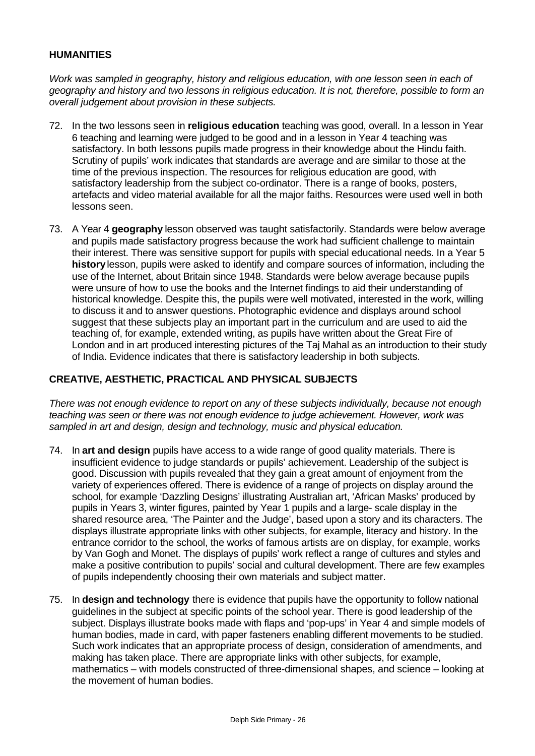## **HUMANITIES**

*Work was sampled in geography, history and religious education, with one lesson seen in each of geography and history and two lessons in religious education. It is not, therefore, possible to form an overall judgement about provision in these subjects.*

- 72. In the two lessons seen in **religious education** teaching was good, overall. In a lesson in Year 6 teaching and learning were judged to be good and in a lesson in Year 4 teaching was satisfactory. In both lessons pupils made progress in their knowledge about the Hindu faith. Scrutiny of pupils' work indicates that standards are average and are similar to those at the time of the previous inspection. The resources for religious education are good, with satisfactory leadership from the subject co-ordinator. There is a range of books, posters, artefacts and video material available for all the major faiths. Resources were used well in both lessons seen.
- 73. A Year 4 **geography** lesson observed was taught satisfactorily. Standards were below average and pupils made satisfactory progress because the work had sufficient challenge to maintain their interest. There was sensitive support for pupils with special educational needs. In a Year 5 **history** lesson, pupils were asked to identify and compare sources of information, including the use of the Internet, about Britain since 1948. Standards were below average because pupils were unsure of how to use the books and the Internet findings to aid their understanding of historical knowledge. Despite this, the pupils were well motivated, interested in the work, willing to discuss it and to answer questions. Photographic evidence and displays around school suggest that these subjects play an important part in the curriculum and are used to aid the teaching of, for example, extended writing, as pupils have written about the Great Fire of London and in art produced interesting pictures of the Taj Mahal as an introduction to their study of India. Evidence indicates that there is satisfactory leadership in both subjects.

# **CREATIVE, AESTHETIC, PRACTICAL AND PHYSICAL SUBJECTS**

*There was not enough evidence to report on any of these subjects individually, because not enough teaching was seen or there was not enough evidence to judge achievement. However, work was sampled in art and design, design and technology, music and physical education.*

- 74. In **art and design** pupils have access to a wide range of good quality materials. There is insufficient evidence to judge standards or pupils' achievement. Leadership of the subject is good. Discussion with pupils revealed that they gain a great amount of enjoyment from the variety of experiences offered. There is evidence of a range of projects on display around the school, for example 'Dazzling Designs' illustrating Australian art, 'African Masks' produced by pupils in Years 3, winter figures, painted by Year 1 pupils and a large- scale display in the shared resource area, 'The Painter and the Judge', based upon a story and its characters. The displays illustrate appropriate links with other subjects, for example, literacy and history. In the entrance corridor to the school, the works of famous artists are on display, for example, works by Van Gogh and Monet. The displays of pupils' work reflect a range of cultures and styles and make a positive contribution to pupils' social and cultural development. There are few examples of pupils independently choosing their own materials and subject matter.
- 75. In **design and technology** there is evidence that pupils have the opportunity to follow national guidelines in the subject at specific points of the school year. There is good leadership of the subject. Displays illustrate books made with flaps and 'pop-ups' in Year 4 and simple models of human bodies, made in card, with paper fasteners enabling different movements to be studied. Such work indicates that an appropriate process of design, consideration of amendments, and making has taken place. There are appropriate links with other subjects, for example, mathematics – with models constructed of three-dimensional shapes, and science – looking at the movement of human bodies.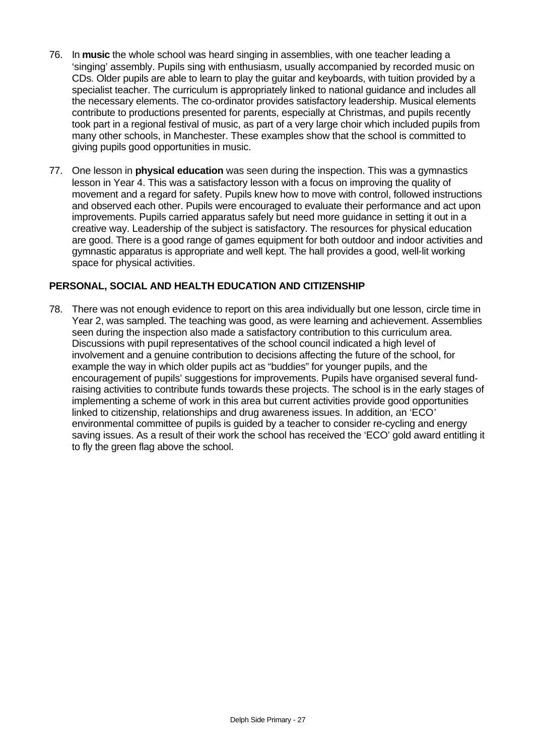- 76. In **music** the whole school was heard singing in assemblies, with one teacher leading a 'singing' assembly. Pupils sing with enthusiasm, usually accompanied by recorded music on CDs. Older pupils are able to learn to play the guitar and keyboards, with tuition provided by a specialist teacher. The curriculum is appropriately linked to national guidance and includes all the necessary elements. The co-ordinator provides satisfactory leadership. Musical elements contribute to productions presented for parents, especially at Christmas, and pupils recently took part in a regional festival of music, as part of a very large choir which included pupils from many other schools, in Manchester. These examples show that the school is committed to giving pupils good opportunities in music.
- 77. One lesson in **physical education** was seen during the inspection. This was a gymnastics lesson in Year 4. This was a satisfactory lesson with a focus on improving the quality of movement and a regard for safety. Pupils knew how to move with control, followed instructions and observed each other. Pupils were encouraged to evaluate their performance and act upon improvements. Pupils carried apparatus safely but need more guidance in setting it out in a creative way. Leadership of the subject is satisfactory. The resources for physical education are good. There is a good range of games equipment for both outdoor and indoor activities and gymnastic apparatus is appropriate and well kept. The hall provides a good, well-lit working space for physical activities.

## **PERSONAL, SOCIAL AND HEALTH EDUCATION AND CITIZENSHIP**

78. There was not enough evidence to report on this area individually but one lesson, circle time in Year 2, was sampled. The teaching was good, as were learning and achievement. Assemblies seen during the inspection also made a satisfactory contribution to this curriculum area. Discussions with pupil representatives of the school council indicated a high level of involvement and a genuine contribution to decisions affecting the future of the school, for example the way in which older pupils act as "buddies" for younger pupils, and the encouragement of pupils' suggestions for improvements. Pupils have organised several fundraising activities to contribute funds towards these projects. The school is in the early stages of implementing a scheme of work in this area but current activities provide good opportunities linked to citizenship, relationships and drug awareness issues. In addition, an 'ECO*'* environmental committee of pupils is guided by a teacher to consider re-cycling and energy saving issues. As a result of their work the school has received the 'ECO' gold award entitling it to fly the green flag above the school.